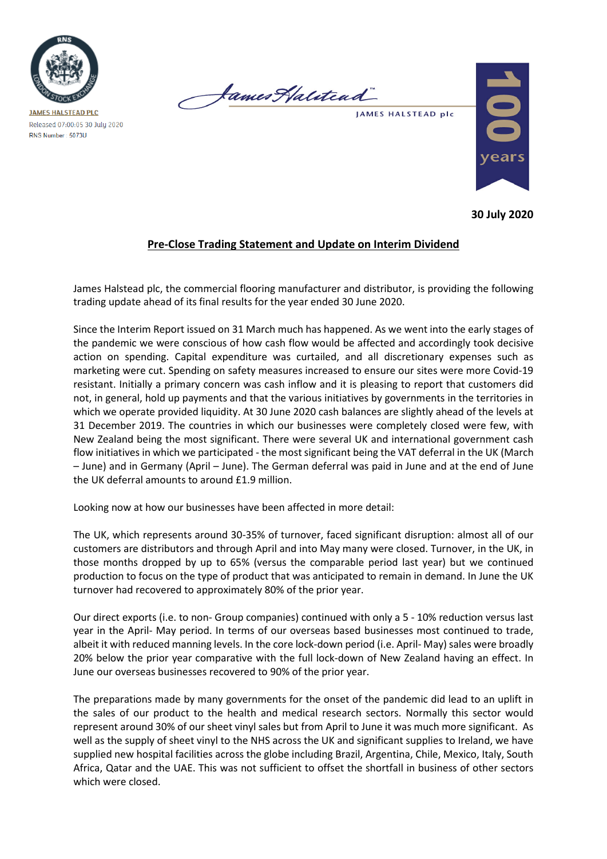

James Halitead

JAMES HALSTEAD plc



**30 July 2020**

## **Pre-Close Trading Statement and Update on Interim Dividend**

James Halstead plc, the commercial flooring manufacturer and distributor, is providing the following trading update ahead of its final results for the year ended 30 June 2020.

Since the Interim Report issued on 31 March much has happened. As we went into the early stages of the pandemic we were conscious of how cash flow would be affected and accordingly took decisive action on spending. Capital expenditure was curtailed, and all discretionary expenses such as marketing were cut. Spending on safety measures increased to ensure our sites were more Covid-19 resistant. Initially a primary concern was cash inflow and it is pleasing to report that customers did not, in general, hold up payments and that the various initiatives by governments in the territories in which we operate provided liquidity. At 30 June 2020 cash balances are slightly ahead of the levels at 31 December 2019. The countries in which our businesses were completely closed were few, with New Zealand being the most significant. There were several UK and international government cash flow initiatives in which we participated - the most significant being the VAT deferral in the UK (March – June) and in Germany (April – June). The German deferral was paid in June and at the end of June the UK deferral amounts to around £1.9 million.

Looking now at how our businesses have been affected in more detail:

The UK, which represents around 30-35% of turnover, faced significant disruption: almost all of our customers are distributors and through April and into May many were closed. Turnover, in the UK, in those months dropped by up to 65% (versus the comparable period last year) but we continued production to focus on the type of product that was anticipated to remain in demand. In June the UK turnover had recovered to approximately 80% of the prior year.

Our direct exports (i.e. to non- Group companies) continued with only a 5 - 10% reduction versus last year in the April- May period. In terms of our overseas based businesses most continued to trade, albeit it with reduced manning levels. In the core lock-down period (i.e. April- May) sales were broadly 20% below the prior year comparative with the full lock-down of New Zealand having an effect. In June our overseas businesses recovered to 90% of the prior year.

The preparations made by many governments for the onset of the pandemic did lead to an uplift in the sales of our product to the health and medical research sectors. Normally this sector would represent around 30% of our sheet vinyl sales but from April to June it was much more significant. As well as the supply of sheet vinyl to the NHS across the UK and significant supplies to Ireland, we have supplied new hospital facilities across the globe including Brazil, Argentina, Chile, Mexico, Italy, South Africa, Qatar and the UAE. This was not sufficient to offset the shortfall in business of other sectors which were closed.